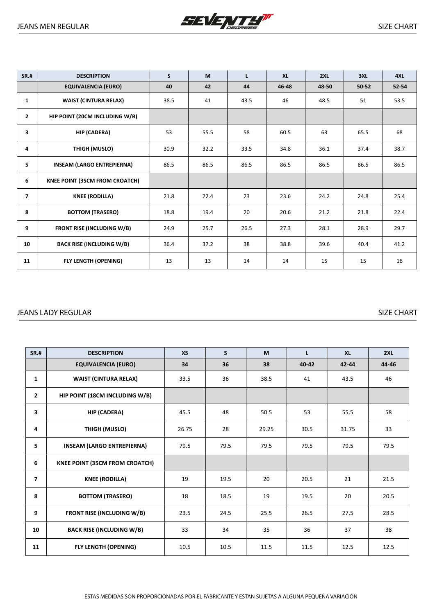

| <b>SR.#</b>    | <b>DESCRIPTION</b>                    | $\mathsf{s}$ | M    | L    | <b>XL</b> | 2XL   | 3XL       | 4XL       |
|----------------|---------------------------------------|--------------|------|------|-----------|-------|-----------|-----------|
|                | <b>EQUIVALENCIA (EURO)</b>            | 40           | 42   | 44   | 46-48     | 48-50 | $50 - 52$ | $52 - 54$ |
| $\mathbf{1}$   | <b>WAIST (CINTURA RELAX)</b>          | 38.5         | 41   | 43.5 | 46        | 48.5  | 51        | 53.5      |
| $\overline{2}$ | HIP POINT (20CM INCLUDING W/B)        |              |      |      |           |       |           |           |
| 3              | HIP (CADERA)                          | 53           | 55.5 | 58   | 60.5      | 63    | 65.5      | 68        |
| 4              | THIGH (MUSLO)                         | 30.9         | 32.2 | 33.5 | 34.8      | 36.1  | 37.4      | 38.7      |
| 5.             | <b>INSEAM (LARGO ENTREPIERNA)</b>     | 86.5         | 86.5 | 86.5 | 86.5      | 86.5  | 86.5      | 86.5      |
| 6              | <b>KNEE POINT (35CM FROM CROATCH)</b> |              |      |      |           |       |           |           |
| $\overline{7}$ | <b>KNEE (RODILLA)</b>                 | 21.8         | 22.4 | 23   | 23.6      | 24.2  | 24.8      | 25.4      |
| 8              | <b>BOTTOM (TRASERO)</b>               | 18.8         | 19.4 | 20   | 20.6      | 21.2  | 21.8      | 22.4      |
| 9              | <b>FRONT RISE (INCLUDING W/B)</b>     | 24.9         | 25.7 | 26.5 | 27.3      | 28.1  | 28.9      | 29.7      |
| 10             | <b>BACK RISE (INCLUDING W/B)</b>      | 36.4         | 37.2 | 38   | 38.8      | 39.6  | 40.4      | 41.2      |
| 11             | <b>FLY LENGTH (OPENING)</b>           | 13           | 13   | 14   | 14        | 15    | 15        | 16        |

## JEANS LADY REGULAR SIZE CHART

| <b>SR.#</b>             | <b>DESCRIPTION</b>                    | <b>XS</b> | S.   | M     | $\mathbf{L}$ | <b>XL</b> | 2XL   |
|-------------------------|---------------------------------------|-----------|------|-------|--------------|-----------|-------|
|                         | <b>EQUIVALENCIA (EURO)</b>            | 34        | 36   | 38    | 40-42        | 42-44     | 44-46 |
| $\mathbf{1}$            | <b>WAIST (CINTURA RELAX)</b>          | 33.5      | 36   | 38.5  | 41           | 43.5      | 46    |
| $\mathbf{2}$            | HIP POINT (18CM INCLUDING W/B)        |           |      |       |              |           |       |
| 3                       | HIP (CADERA)                          | 45.5      | 48   | 50.5  | 53           | 55.5      | 58    |
| 4                       | <b>THIGH (MUSLO)</b>                  | 26.75     | 28   | 29.25 | 30.5         | 31.75     | 33    |
| 5                       | <b>INSEAM (LARGO ENTREPIERNA)</b>     | 79.5      | 79.5 | 79.5  | 79.5         | 79.5      | 79.5  |
| 6                       | <b>KNEE POINT (35CM FROM CROATCH)</b> |           |      |       |              |           |       |
| $\overline{\mathbf{z}}$ | <b>KNEE (RODILLA)</b>                 | 19        | 19.5 | 20    | 20.5         | 21        | 21.5  |
| 8                       | <b>BOTTOM (TRASERO)</b>               | 18        | 18.5 | 19    | 19.5         | 20        | 20.5  |
| 9                       | <b>FRONT RISE (INCLUDING W/B)</b>     | 23.5      | 24.5 | 25.5  | 26.5         | 27.5      | 28.5  |
| 10                      | <b>BACK RISE (INCLUDING W/B)</b>      | 33        | 34   | 35    | 36           | 37        | 38    |
| 11                      | <b>FLY LENGTH (OPENING)</b>           | 10.5      | 10.5 | 11.5  | 11.5         | 12.5      | 12.5  |